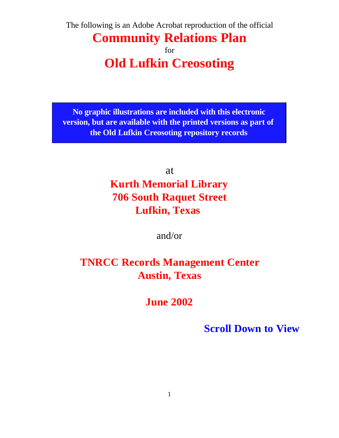The following is an Adobe Acrobat reproduction of the official

## **Community Relations Plan** for **Old Lufkin Creosoting**

**No graphic illustrations are included with this electronic version, but are available with the printed versions as part of the Old Lufkin Creosoting repository records**

at

# **Kurth Memorial Library 706 South Raquet Street Lufkin, Texas**

and/or

## **TNRCC Records Management Center Austin, Texas**

**June 2002**

**Scroll Down to View**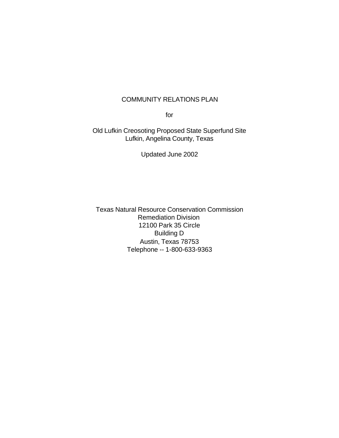#### COMMUNITY RELATIONS PLAN

for

Old Lufkin Creosoting Proposed State Superfund Site Lufkin, Angelina County, Texas

Updated June 2002

Texas Natural Resource Conservation Commission Remediation Division 12100 Park 35 Circle Building D Austin, Texas 78753 Telephone -- 1-800-633-9363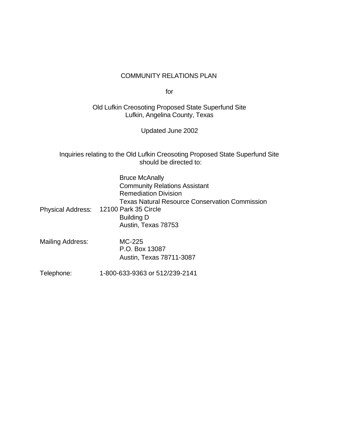#### COMMUNITY RELATIONS PLAN

for

Old Lufkin Creosoting Proposed State Superfund Site Lufkin, Angelina County, Texas

Updated June 2002

Inquiries relating to the Old Lufkin Creosoting Proposed State Superfund Site should be directed to:

|                          | <b>Bruce McAnally</b><br><b>Community Relations Assistant</b><br><b>Remediation Division</b><br><b>Texas Natural Resource Conservation Commission</b> |
|--------------------------|-------------------------------------------------------------------------------------------------------------------------------------------------------|
| <b>Physical Address:</b> | 12100 Park 35 Circle<br><b>Building D</b><br>Austin, Texas 78753                                                                                      |
| Mailing Address:         | MC-225<br>P.O. Box 13087<br>Austin, Texas 78711-3087                                                                                                  |
| Telephone:               | 1-800-633-9363 or 512/239-2141                                                                                                                        |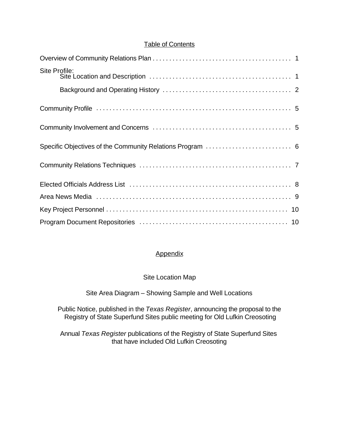## Table of Contents

| Site Profile:                                             |
|-----------------------------------------------------------|
|                                                           |
|                                                           |
|                                                           |
| Specific Objectives of the Community Relations Program  6 |
|                                                           |
|                                                           |
|                                                           |
|                                                           |
|                                                           |

## **Appendix**

## Site Location Map

## Site Area Diagram – Showing Sample and Well Locations

Public Notice, published in the *Texas Register*, announcing the proposal to the Registry of State Superfund Sites public meeting for Old Lufkin Creosoting

Annual *Texas Register* publications of the Registry of State Superfund Sites that have included Old Lufkin Creosoting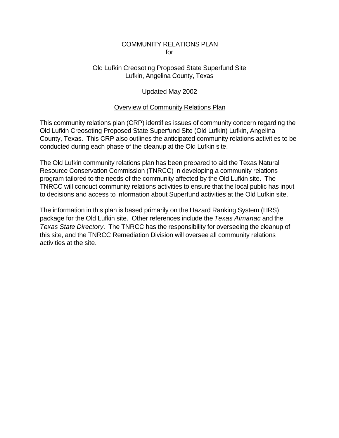#### COMMUNITY RELATIONS PLAN for

## Old Lufkin Creosoting Proposed State Superfund Site Lufkin, Angelina County, Texas

## Updated May 2002

## Overview of Community Relations Plan

This community relations plan (CRP) identifies issues of community concern regarding the Old Lufkin Creosoting Proposed State Superfund Site (Old Lufkin) Lufkin, Angelina County, Texas. This CRP also outlines the anticipated community relations activities to be conducted during each phase of the cleanup at the Old Lufkin site.

The Old Lufkin community relations plan has been prepared to aid the Texas Natural Resource Conservation Commission (TNRCC) in developing a community relations program tailored to the needs of the community affected by the Old Lufkin site. The TNRCC will conduct community relations activities to ensure that the local public has input to decisions and access to information about Superfund activities at the Old Lufkin site.

The information in this plan is based primarily on the Hazard Ranking System (HRS) package for the Old Lufkin site. Other references include the *Texas Almanac* and the *Texas State Directory*. The TNRCC has the responsibility for overseeing the cleanup of this site, and the TNRCC Remediation Division will oversee all community relations activities at the site.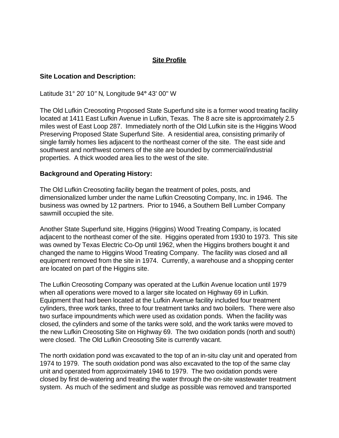## **Site Profile**

#### **Site Location and Description:**

Latitude 31° 20' 10*"* N*,* Longitude 94**°** 43' 00" W

The Old Lufkin Creosoting Proposed State Superfund site is a former wood treating facility located at 1411 East Lufkin Avenue in Lufkin, Texas. The 8 acre site is approximately 2.5 miles west of East Loop 287. Immediately north of the Old Lufkin site is the Higgins Wood Preserving Proposed State Superfund Site. A residential area, consisting primarily of single family homes lies adjacent to the northeast corner of the site. The east side and southwest and northwest corners of the site are bounded by commercial/industrial properties. A thick wooded area lies to the west of the site.

#### **Background and Operating History:**

The Old Lufkin Creosoting facility began the treatment of poles, posts, and dimensionalized lumber under the name Lufkin Creosoting Company, Inc. in 1946. The business was owned by 12 partners. Prior to 1946, a Southern Bell Lumber Company sawmill occupied the site.

Another State Superfund site, Higgins (Higgins) Wood Treating Company, is located adjacent to the northeast comer of the site. Higgins operated from 1930 to 1973. This site was owned by Texas Electric Co-Op until 1962, when the Higgins brothers bought it and changed the name to Higgins Wood Treating Company. The facility was closed and all equipment removed from the site in 1974. Currently, a warehouse and a shopping center are located on part of the Higgins site.

The Lufkin Creosoting Company was operated at the Lufkin Avenue location until 1979 when all operations were moved to a larger site located on Highway 69 in Lufkin. Equipment that had been located at the Lufkin Avenue facility included four treatment cylinders, three work tanks, three to four treatment tanks and two boilers. There were also two surface impoundments which were used as oxidation ponds. When the facility was closed, the cylinders and some of the tanks were sold, and the work tanks were moved to the new Lufkin Creosoting Site on Highway 69. The two oxidation ponds (north and south) were closed. The Old Lufkin Creosoting Site is currently vacant.

The north oxidation pond was excavated to the top of an in-situ clay unit and operated from 1974 to 1979. The south oxidation pond was also excavated to the top of the same clay unit and operated from approximately 1946 to 1979. The two oxidation ponds were closed by first de-watering and treating the water through the on-site wastewater treatment system. As much of the sediment and sludge as possible was removed and transported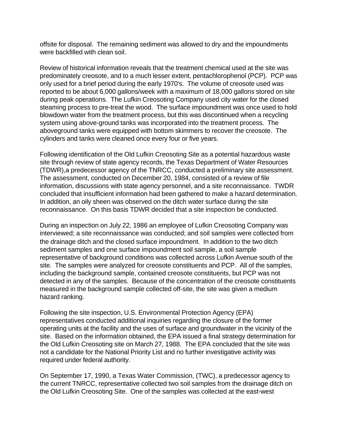offsite for disposal. The remaining sediment was allowed to dry and the impoundments were backfilled with clean soil.

Review of historical information reveals that the treatment chemical used at the site was predominately creosote, and to a much lesser extent, pentachlorophenol (PCP). PCP was only used for a brief period during the early 1970's. The volume of creosote used was reported to be about 6,000 gallons/week with a maximum of 18,000 gallons stored on site during peak operations. The Lufkin Creosoting Company used city water for the closed steaming process to pre-treat the wood. The surface impoundment was once used to hold blowdown water from the treatment process, but this was discontinued when a recycling system using above-ground tanks was incorporated into the treatment process. The aboveground tanks were equipped with bottom skimmers to recover the creosote. The cylinders and tanks were cleaned once every four or five years.

Following identification of the Old Lufkin Creosoting Site as a potential hazardous waste site through review of state agency records, the Texas Department of Water Resources (TDWR),a predecessor agency of the TNRCC, conducted a preliminary site assessment. The assessment, conducted on December 20, 1984, consisted of a review of file information, discussions with state agency personnel, and a site reconnaissance. TWDR concluded that insufficient information had been gathered to make a hazard determination. In addition, an oily sheen was observed on the ditch water surface during the site reconnaissance. On this basis TDWR decided that a site inspection be conducted.

During an inspection on July 22, 1986 an employee of Lufkin Creosoting Company was interviewed; a site reconnaissance was conducted; and soil samples were collected from the drainage ditch and the closed surface impoundment. In addition to the two ditch sediment samples and one surface impoundment soil sample, a soil sample representative of background conditions was collected across Lufkin Avenue south of the site. The samples were analyzed for creosote constituents and PCP. All of the samples, including the background sample, contained creosote constituents, but PCP was not detected in any of the samples. Because of the concentration of the creosote constituents measured in the background sample collected off-site, the site was given a medium hazard ranking.

Following the site inspection, U.S. Environmental Protection Agency (EPA) representatives conducted additional inquiries regarding the closure of the former operating units at the facility and the uses of surface and groundwater in the vicinity of the site. Based on the information obtained, the EPA issued a final strategy determination for the Old Lufkin Creosoting site on March 27, 1988. The EPA concluded that the site was not a candidate for the National Priority List and no further investigative activity was required under federal authority.

On September 17, 1990, a Texas Water Commission, (TWC), a predecessor agency to the current TNRCC, representative collected two soil samples from the drainage ditch on the Old Lufkin Creosoting Site. One of the samples was collected at the east-west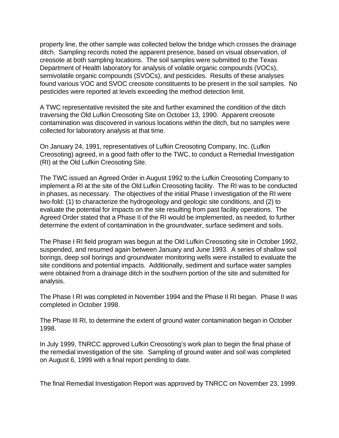property line, the other sample was collected below the bridge which crosses the drainage ditch. Sampling records noted the apparent presence, based on visual observation, of creosote at both sampling locations. The soil samples were submitted to the Texas Department of Health laboratory for analysis of volatile organic compounds (VOCs), semivolatile organic compounds (SVOCs), and pesticides. Results of these analyses found various VOC and SVOC creosote constituents to be present in the soil samples. No pesticides were reported at levels exceeding the method detection limit.

A TWC representative revisited the site and further examined the condition of the ditch traversing the Old Lufkin Creosoting Site on October 13, 1990. Apparent creosote contamination was discovered in various locations within the ditch, but no samples were collected for laboratory analysis at that time.

On January 24, 1991, representatives of Lufkin Creosoting Company, Inc. (Lufkin Creosoting) agreed, in a good faith offer to the TWC, to conduct a Remedial Investigation (RI) at the Old Lufkin Creosoting Site.

The TWC issued an Agreed Order in August 1992 to the Lufkin Creosoting Company to implement a RI at the site of the Old Lufkin Creosoting facility. The RI was to be conducted in phases, as necessary. The objectives of the initial Phase I investigation of the RI were two-fold: (1) to characterize the hydrogeology and geologic site conditions, and (2) to evaluate the potential for impacts on the site resulting from past facility operations. The Agreed Order stated that a Phase II of the RI would be implemented, as needed, to further determine the extent of contamination in the groundwater, surface sediment and soils.

The Phase I RI field program was begun at the Old Lufkin Creosoting site in October 1992, suspended, and resumed again between January and June 1993. A series of shallow soil borings, deep soil borings and groundwater monitoring wells were installed to evaluate the site conditions and potential impacts. Additionally, sediment and surface water samples were obtained from a drainage ditch in the southern portion of the site and submitted for analysis.

The Phase I RI was completed in November 1994 and the Phase II RI began. Phase II was completed in October 1998.

The Phase III RI, to determine the extent of ground water contamination began in October 1998.

In July 1999, TNRCC approved Lufkin Creosoting's work plan to begin the final phase of the remedial investigation of the site. Sampling of ground water and soil was completed on August 6, 1999 with a final report pending to date.

The final Remedial Investigation Report was approved by TNRCC on November 23, 1999.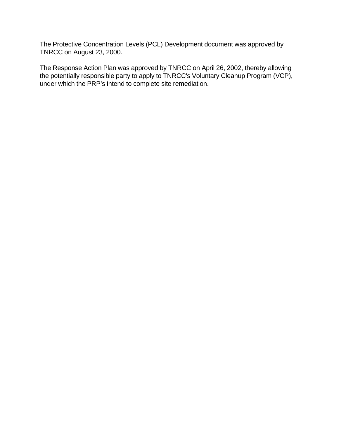The Protective Concentration Levels (PCL) Development document was approved by TNRCC on August 23, 2000.

The Response Action Plan was approved by TNRCC on April 26, 2002, thereby allowing the potentially responsible party to apply to TNRCC's Voluntary Cleanup Program (VCP), under which the PRP's intend to complete site remediation.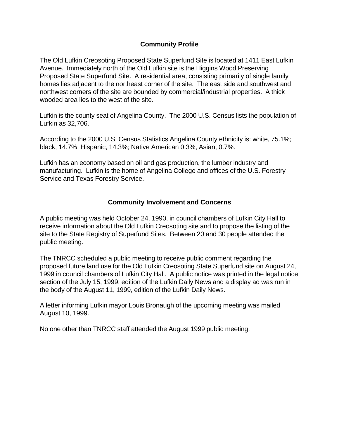## **Community Profile**

The Old Lufkin Creosoting Proposed State Superfund Site is located at 1411 East Lufkin Avenue. Immediately north of the Old Lufkin site is the Higgins Wood Preserving Proposed State Superfund Site. A residential area, consisting primarily of single family homes lies adjacent to the northeast corner of the site. The east side and southwest and northwest corners of the site are bounded by commercial/industrial properties. A thick wooded area lies to the west of the site.

Lufkin is the county seat of Angelina County. The 2000 U.S. Census lists the population of Lufkin as 32,706.

According to the 2000 U.S. Census Statistics Angelina County ethnicity is: white, 75.1%; black, 14.7%; Hispanic, 14.3%; Native American 0.3%, Asian, 0.7%.

Lufkin has an economy based on oil and gas production, the lumber industry and manufacturing. Lufkin is the home of Angelina College and offices of the U.S. Forestry Service and Texas Forestry Service.

#### **Community Involvement and Concerns**

A public meeting was held October 24, 1990, in council chambers of Lufkin City Hall to receive information about the Old Lufkin Creosoting site and to propose the listing of the site to the State Registry of Superfund Sites. Between 20 and 30 people attended the public meeting.

The TNRCC scheduled a public meeting to receive public comment regarding the proposed future land use for the Old Lufkin Creosoting State Superfund site on August 24, 1999 in council chambers of Lufkin City Hall. A public notice was printed in the legal notice section of the July 15, 1999, edition of the Lufkin Daily News and a display ad was run in the body of the August 11, 1999, edition of the Lufkin Daily News.

A letter informing Lufkin mayor Louis Bronaugh of the upcoming meeting was mailed August 10, 1999.

No one other than TNRCC staff attended the August 1999 public meeting.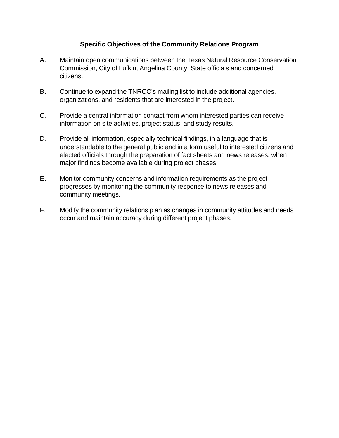## **Specific Objectives of the Community Relations Program**

- A. Maintain open communications between the Texas Natural Resource Conservation Commission, City of Lufkin, Angelina County, State officials and concerned citizens.
- B. Continue to expand the TNRCC's mailing list to include additional agencies, organizations, and residents that are interested in the project.
- C. Provide a central information contact from whom interested parties can receive information on site activities, project status, and study results.
- D. Provide all information, especially technical findings, in a language that is understandable to the general public and in a form useful to interested citizens and elected officials through the preparation of fact sheets and news releases, when major findings become available during project phases.
- E. Monitor community concerns and information requirements as the project progresses by monitoring the community response to news releases and community meetings.
- F. Modify the community relations plan as changes in community attitudes and needs occur and maintain accuracy during different project phases.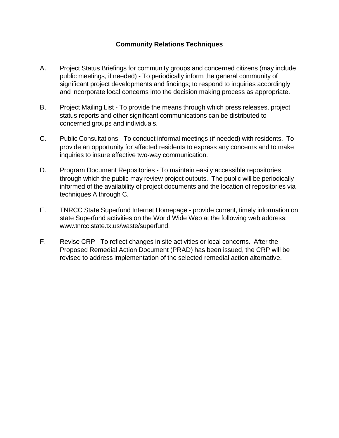## **Community Relations Techniques**

- A. Project Status Briefings for community groups and concerned citizens (may include public meetings, if needed) - To periodically inform the general community of significant project developments and findings; to respond to inquiries accordingly and incorporate local concerns into the decision making process as appropriate.
- B. Project Mailing List To provide the means through which press releases, project status reports and other significant communications can be distributed to concerned groups and individuals.
- C. Public Consultations To conduct informal meetings (if needed) with residents. To provide an opportunity for affected residents to express any concerns and to make inquiries to insure effective two-way communication.
- D. Program Document Repositories To maintain easily accessible repositories through which the public may review project outputs. The public will be periodically informed of the availability of project documents and the location of repositories via techniques A through C.
- E. TNRCC State Superfund Internet Homepage provide current, timely information on state Superfund activities on the World Wide Web at the following web address: www.tnrcc.state.tx.us/waste/superfund.
- F. Revise CRP To reflect changes in site activities or local concerns. After the Proposed Remedial Action Document (PRAD) has been issued, the CRP will be revised to address implementation of the selected remedial action alternative.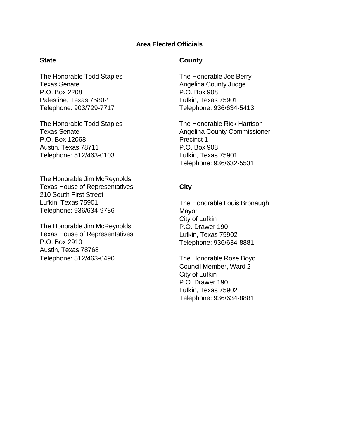### **Area Elected Officials**

#### **State**

The Honorable Todd Staples Texas Senate P.O. Box 2208 Palestine, Texas 75802 Telephone: 903/729-7717

The Honorable Todd Staples Texas Senate P.O. Box 12068 Austin, Texas 78711 Telephone: 512/463-0103

The Honorable Jim McReynolds Texas House of Representatives 210 South First Street Lufkin, Texas 75901 Telephone: 936/634-9786

The Honorable Jim McReynolds Texas House of Representatives P.O. Box 2910 Austin, Texas 78768 Telephone: 512/463-0490

#### **County**

The Honorable Joe Berry Angelina County Judge P.O. Box 908 Lufkin, Texas 75901 Telephone: 936/634-5413

The Honorable Rick Harrison Angelina County Commissioner Precinct 1 P.O. Box 908 Lufkin, Texas 75901 Telephone: 936/632-5531

#### **City**

The Honorable Louis Bronaugh Mayor City of Lufkin P.O. Drawer 190 Lufkin, Texas 75902 Telephone: 936/634-8881

The Honorable Rose Boyd Council Member, Ward 2 City of Lufkin P.O. Drawer 190 Lufkin, Texas 75902 Telephone: 936/634-8881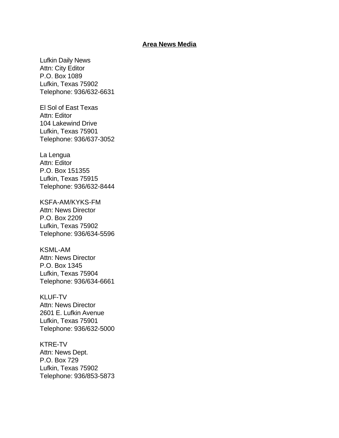#### **Area News Media**

Lufkin Daily News Attn: City Editor P.O. Box 1089 Lufkin, Texas 75902 Telephone: 936/632-6631

El Sol of East Texas Attn: Editor 104 Lakewind Drive Lufkin, Texas 75901 Telephone: 936/637-3052

La Lengua Attn: Editor P.O. Box 151355 Lufkin, Texas 75915 Telephone: 936/632-8444

KSFA-AM/KYKS-FM Attn: News Director P.O. Box 2209 Lufkin, Texas 75902 Telephone: 936/634-5596

KSML-AM Attn: News Director P.O. Box 1345 Lufkin, Texas 75904 Telephone: 936/634-6661

KLUF-TV Attn: News Director 2601 E. Lufkin Avenue Lufkin, Texas 75901 Telephone: 936/632-5000

KTRE-TV Attn: News Dept. P.O. Box 729 Lufkin, Texas 75902 Telephone: 936/853-5873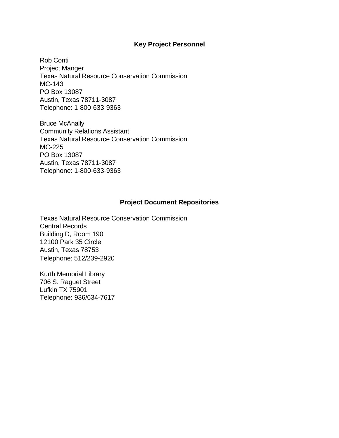#### **Key Project Personnel**

Rob Conti Project Manger Texas Natural Resource Conservation Commission MC-143 PO Box 13087 Austin, Texas 78711-3087 Telephone: 1-800-633-9363

Bruce McAnally Community Relations Assistant Texas Natural Resource Conservation Commission MC-225 PO Box 13087 Austin, Texas 78711-3087 Telephone: 1-800-633-9363

#### **Project Document Repositories**

Texas Natural Resource Conservation Commission Central Records Building D, Room 190 12100 Park 35 Circle Austin, Texas 78753 Telephone: 512/239-2920

Kurth Memorial Library 706 S. Raguet Street Lufkin TX 75901 Telephone: 936/634-7617